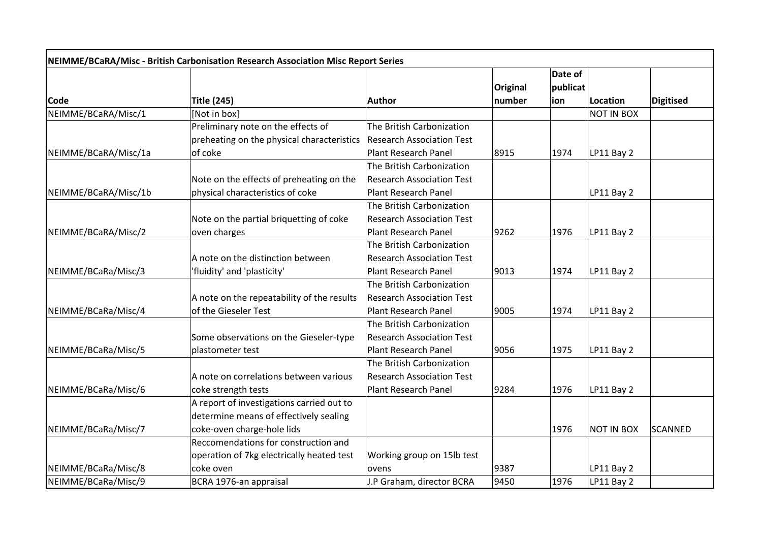|                      |                                            |                                  | Original | Date of<br>publicat |                   |           |
|----------------------|--------------------------------------------|----------------------------------|----------|---------------------|-------------------|-----------|
| <b>Code</b>          | <b>Title (245)</b>                         | Author                           | number   | ion                 | Location          | Digitised |
| NEIMME/BCaRA/Misc/1  | [Not in box]                               |                                  |          |                     | <b>NOT IN BOX</b> |           |
|                      | Preliminary note on the effects of         | The British Carbonization        |          |                     |                   |           |
|                      | preheating on the physical characteristics | <b>Research Association Test</b> |          |                     |                   |           |
| NEIMME/BCaRA/Misc/1a | of coke                                    | <b>Plant Research Panel</b>      | 8915     | 1974                | LP11 Bay 2        |           |
|                      |                                            | The British Carbonization        |          |                     |                   |           |
|                      | Note on the effects of preheating on the   | <b>Research Association Test</b> |          |                     |                   |           |
| NEIMME/BCaRA/Misc/1b | physical characteristics of coke           | <b>Plant Research Panel</b>      |          |                     | LP11 Bay 2        |           |
|                      |                                            | The British Carbonization        |          |                     |                   |           |
|                      | Note on the partial briquetting of coke    | <b>Research Association Test</b> |          |                     |                   |           |
| NEIMME/BCaRA/Misc/2  | oven charges                               | <b>Plant Research Panel</b>      | 9262     | 1976                | LP11 Bay 2        |           |
|                      |                                            | The British Carbonization        |          |                     |                   |           |
|                      | A note on the distinction between          | <b>Research Association Test</b> |          |                     |                   |           |
| NEIMME/BCaRa/Misc/3  | 'fluidity' and 'plasticity'                | <b>Plant Research Panel</b>      | 9013     | 1974                | LP11 Bay 2        |           |
|                      |                                            | The British Carbonization        |          |                     |                   |           |
|                      | A note on the repeatability of the results | <b>Research Association Test</b> |          |                     |                   |           |
| NEIMME/BCaRa/Misc/4  | of the Gieseler Test                       | <b>Plant Research Panel</b>      | 9005     | 1974                | LP11 Bay 2        |           |
|                      |                                            | The British Carbonization        |          |                     |                   |           |
|                      | Some observations on the Gieseler-type     | <b>Research Association Test</b> |          |                     |                   |           |
| NEIMME/BCaRa/Misc/5  | plastometer test                           | <b>Plant Research Panel</b>      | 9056     | 1975                | LP11 Bay 2        |           |
|                      |                                            | The British Carbonization        |          |                     |                   |           |
|                      | A note on correlations between various     | <b>Research Association Test</b> |          |                     |                   |           |
| NEIMME/BCaRa/Misc/6  | coke strength tests                        | <b>Plant Research Panel</b>      | 9284     | 1976                | LP11 Bay 2        |           |
|                      | A report of investigations carried out to  |                                  |          |                     |                   |           |
|                      | determine means of effectively sealing     |                                  |          |                     |                   |           |
| NEIMME/BCaRa/Misc/7  | coke-oven charge-hole lids                 |                                  |          | 1976                | <b>NOT IN BOX</b> | SCANNED   |
|                      | Reccomendations for construction and       |                                  |          |                     |                   |           |
|                      | operation of 7kg electrically heated test  | Working group on 15lb test       |          |                     |                   |           |
| NEIMME/BCaRa/Misc/8  | coke oven                                  | ovens                            | 9387     |                     | LP11 Bay 2        |           |
| NEIMME/BCaRa/Misc/9  | BCRA 1976-an appraisal                     | J.P Graham, director BCRA        | 9450     | 1976                | LP11 Bay 2        |           |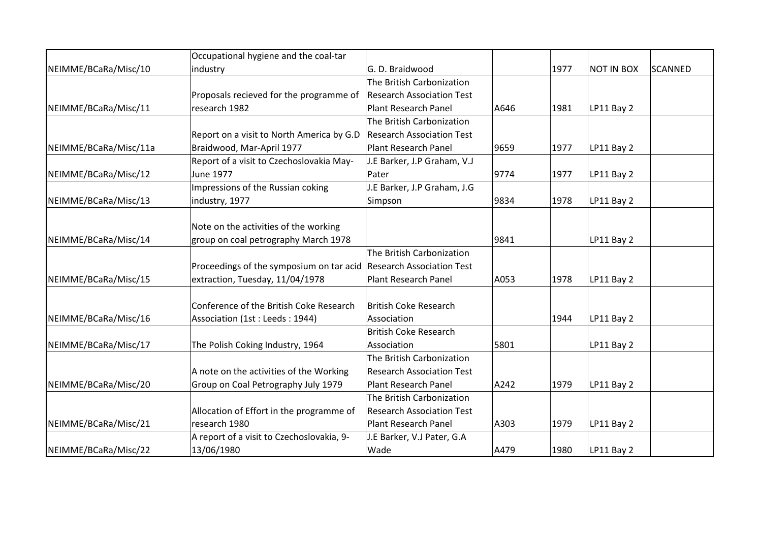|                       | Occupational hygiene and the coal-tar                              |                                  |      |      |                   |         |
|-----------------------|--------------------------------------------------------------------|----------------------------------|------|------|-------------------|---------|
| NEIMME/BCaRa/Misc/10  | industry                                                           | G. D. Braidwood                  |      | 1977 | <b>NOT IN BOX</b> | SCANNED |
|                       |                                                                    | The British Carbonization        |      |      |                   |         |
|                       | Proposals recieved for the programme of                            | <b>Research Association Test</b> |      |      |                   |         |
| NEIMME/BCaRa/Misc/11  | research 1982                                                      | <b>Plant Research Panel</b>      | A646 | 1981 | LP11 Bay 2        |         |
|                       |                                                                    | The British Carbonization        |      |      |                   |         |
|                       | Report on a visit to North America by G.D                          | <b>Research Association Test</b> |      |      |                   |         |
| NEIMME/BCaRa/Misc/11a | Braidwood, Mar-April 1977                                          | <b>Plant Research Panel</b>      | 9659 | 1977 | LP11 Bay 2        |         |
|                       | Report of a visit to Czechoslovakia May-                           | J.E Barker, J.P Graham, V.J      |      |      |                   |         |
| NEIMME/BCaRa/Misc/12  | June 1977                                                          | Pater                            | 9774 | 1977 | LP11 Bay 2        |         |
|                       | Impressions of the Russian coking                                  | J.E Barker, J.P Graham, J.G      |      |      |                   |         |
| NEIMME/BCaRa/Misc/13  | industry, 1977                                                     | Simpson                          | 9834 | 1978 | LP11 Bay 2        |         |
|                       |                                                                    |                                  |      |      |                   |         |
|                       | Note on the activities of the working                              |                                  |      |      |                   |         |
| NEIMME/BCaRa/Misc/14  | group on coal petrography March 1978                               |                                  | 9841 |      | LP11 Bay 2        |         |
|                       |                                                                    | The British Carbonization        |      |      |                   |         |
|                       | Proceedings of the symposium on tar acid Research Association Test |                                  |      |      |                   |         |
| NEIMME/BCaRa/Misc/15  | extraction, Tuesday, 11/04/1978                                    | <b>Plant Research Panel</b>      | A053 | 1978 | LP11 Bay 2        |         |
|                       |                                                                    |                                  |      |      |                   |         |
|                       | Conference of the British Coke Research                            | <b>British Coke Research</b>     |      |      |                   |         |
| NEIMME/BCaRa/Misc/16  | Association (1st: Leeds: 1944)                                     | Association                      |      | 1944 | LP11 Bay 2        |         |
|                       |                                                                    | <b>British Coke Research</b>     |      |      |                   |         |
| NEIMME/BCaRa/Misc/17  | The Polish Coking Industry, 1964                                   | Association                      | 5801 |      | LP11 Bay 2        |         |
|                       |                                                                    | The British Carbonization        |      |      |                   |         |
|                       | A note on the activities of the Working                            | <b>Research Association Test</b> |      |      |                   |         |
| NEIMME/BCaRa/Misc/20  | Group on Coal Petrography July 1979                                | <b>Plant Research Panel</b>      | A242 | 1979 | LP11 Bay 2        |         |
|                       |                                                                    | The British Carbonization        |      |      |                   |         |
|                       | Allocation of Effort in the programme of                           | <b>Research Association Test</b> |      |      |                   |         |
| NEIMME/BCaRa/Misc/21  | research 1980                                                      | <b>Plant Research Panel</b>      | A303 | 1979 | LP11 Bay 2        |         |
|                       | A report of a visit to Czechoslovakia, 9-                          | J.E Barker, V.J Pater, G.A       |      |      |                   |         |
| NEIMME/BCaRa/Misc/22  | 13/06/1980                                                         | Wade                             | A479 | 1980 | LP11 Bay 2        |         |